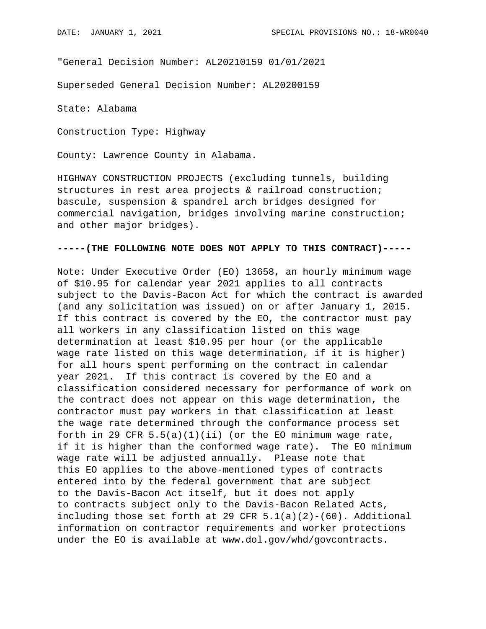"General Decision Number: AL20210159 01/01/2021

Superseded General Decision Number: AL20200159

State: Alabama

Construction Type: Highway

County: Lawrence County in Alabama.

HIGHWAY CONSTRUCTION PROJECTS (excluding tunnels, building structures in rest area projects & railroad construction; bascule, suspension & spandrel arch bridges designed for commercial navigation, bridges involving marine construction; and other major bridges).

## **-----(THE FOLLOWING NOTE DOES NOT APPLY TO THIS CONTRACT)-----**

Note: Under Executive Order (EO) 13658, an hourly minimum wage of \$10.95 for calendar year 2021 applies to all contracts subject to the Davis-Bacon Act for which the contract is awarded (and any solicitation was issued) on or after January 1, 2015. If this contract is covered by the EO, the contractor must pay all workers in any classification listed on this wage determination at least \$10.95 per hour (or the applicable wage rate listed on this wage determination, if it is higher) for all hours spent performing on the contract in calendar year 2021. If this contract is covered by the EO and a classification considered necessary for performance of work on the contract does not appear on this wage determination, the contractor must pay workers in that classification at least the wage rate determined through the conformance process set forth in 29 CFR  $5.5(a)(1)(ii)$  (or the EO minimum wage rate, if it is higher than the conformed wage rate). The EO minimum wage rate will be adjusted annually. Please note that this EO applies to the above-mentioned types of contracts entered into by the federal government that are subject to the Davis-Bacon Act itself, but it does not apply to contracts subject only to the Davis-Bacon Related Acts, including those set forth at 29 CFR  $5.1(a)(2)-(60)$ . Additional information on contractor requirements and worker protections under the EO is available at www.dol.gov/whd/govcontracts.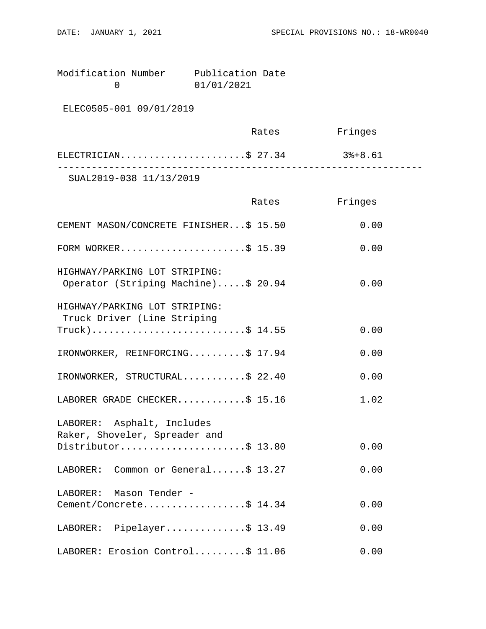Modification Number Publication Date<br>0 01/01/2021 0 01/01/2021

ELEC0505-001 09/01/2019

|                         | Rates | Fringes |  |
|-------------------------|-------|---------|--|
| ELECTRICIAN\$ 27.34     |       | 3%+8.61 |  |
| SUAL2019-038 11/13/2019 |       |         |  |

|                                                                      | Rates | Fringes |
|----------------------------------------------------------------------|-------|---------|
| CEMENT MASON/CONCRETE FINISHER\$ 15.50                               |       | 0.00    |
| FORM WORKER\$ 15.39                                                  |       | 0.00    |
| HIGHWAY/PARKING LOT STRIPING:<br>Operator (Striping Machine)\$ 20.94 |       | 0.00    |
| HIGHWAY/PARKING LOT STRIPING:<br>Truck Driver (Line Striping         |       |         |
| $True k)$ \$ 14.55                                                   |       | 0.00    |
| IRONWORKER, REINFORCING\$ 17.94                                      |       | 0.00    |
| IRONWORKER, STRUCTURAL\$ 22.40                                       |       | 0.00    |
| LABORER GRADE CHECKER\$ 15.16                                        |       | 1.02    |
| LABORER: Asphalt, Includes<br>Raker, Shoveler, Spreader and          |       |         |
| Distributor\$ 13.80                                                  |       | 0.00    |
| LABORER: Common or General\$ 13.27                                   |       | 0.00    |
| LABORER: Mason Tender -                                              |       |         |
| Cement/Concrete\$ 14.34                                              |       | 0.00    |
| LABORER: Pipelayer\$ 13.49                                           |       | 0.00    |
| LABORER: Erosion Control\$ 11.06                                     |       | 0.00    |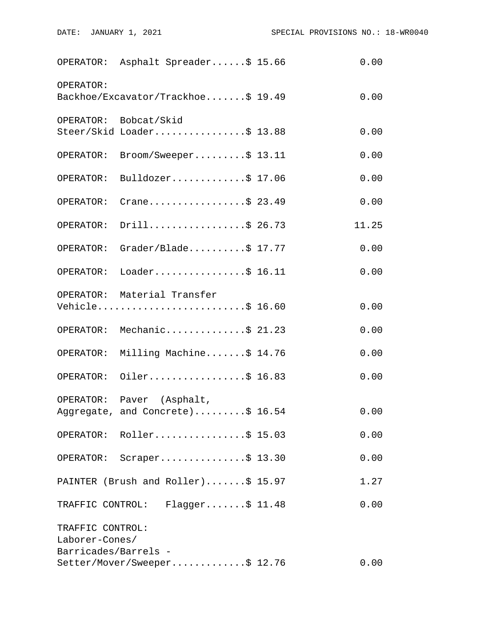|                                    | OPERATOR: Asphalt Spreader\$ 15.66                            | 0.00  |
|------------------------------------|---------------------------------------------------------------|-------|
| OPERATOR:                          | Backhoe/Excavator/Trackhoe\$ 19.49                            | 0.00  |
|                                    | OPERATOR: Bobcat/Skid<br>Steer/Skid Loader\$ 13.88            | 0.00  |
| OPERATOR:                          | $\texttt{Brown}/\texttt{Sweeper} \dots \dots \dots \$ 13.11   | 0.00  |
| OPERATOR:                          | Bulldozer\$ 17.06                                             | 0.00  |
| OPERATOR:                          | Crane\$ 23.49                                                 | 0.00  |
| OPERATOR:                          | Drill\$ 26.73                                                 | 11.25 |
| OPERATOR:                          | $Grader/Blade$ ; \$ 17.77                                     | 0.00  |
|                                    | OPERATOR: Loader\$ 16.11                                      | 0.00  |
|                                    | OPERATOR: Material Transfer<br>Vehicle\$ 16.60                | 0.00  |
|                                    | OPERATOR: Mechanic\$ 21.23                                    | 0.00  |
| OPERATOR:                          | Milling Machine\$ 14.76                                       | 0.00  |
|                                    | OPERATOR: Oiler\$ 16.83                                       | 0.00  |
|                                    | OPERATOR: Paver (Asphalt,<br>Aggregate, and Concrete)\$ 16.54 | 0.00  |
|                                    | OPERATOR: Roller\$ 15.03                                      | 0.00  |
|                                    | OPERATOR: Scraper\$ 13.30                                     | 0.00  |
|                                    | PAINTER (Brush and Roller)\$ 15.97                            | 1.27  |
|                                    | TRAFFIC CONTROL: Flagger\$ 11.48                              | 0.00  |
| TRAFFIC CONTROL:<br>Laborer-Cones/ |                                                               |       |
| Barricades/Barrels -               | Setter/Mover/Sweeper\$ 12.76                                  | 0.00  |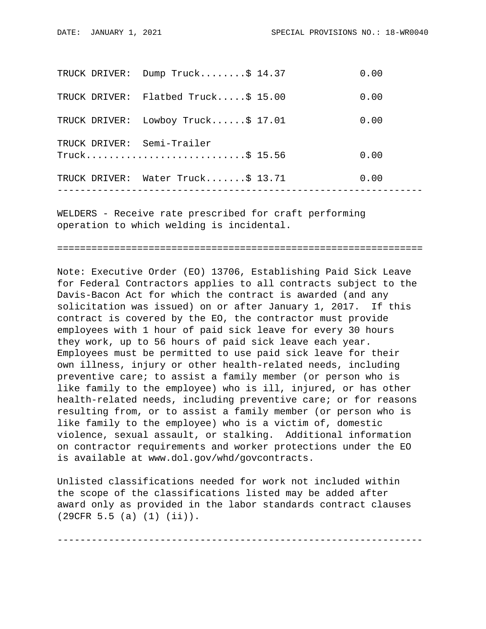| TRUCK DRIVER: | Dump $Truck$ \$ 14.37             | 0.00 |
|---------------|-----------------------------------|------|
| TRUCK DRIVER: | Flatbed Truck $$15.00$            | 0.00 |
| TRUCK DRIVER: | Lowboy Truck $$17.01$             | 0.00 |
|               | TRUCK DRIVER: Semi-Trailer        | 0.00 |
|               | TRUCK DRIVER: Water Truck\$ 13.71 | 0.00 |
|               |                                   |      |

WELDERS - Receive rate prescribed for craft performing operation to which welding is incidental.

================================================================

Note: Executive Order (EO) 13706, Establishing Paid Sick Leave for Federal Contractors applies to all contracts subject to the Davis-Bacon Act for which the contract is awarded (and any solicitation was issued) on or after January 1, 2017. If this contract is covered by the EO, the contractor must provide employees with 1 hour of paid sick leave for every 30 hours they work, up to 56 hours of paid sick leave each year. Employees must be permitted to use paid sick leave for their own illness, injury or other health-related needs, including preventive care; to assist a family member (or person who is like family to the employee) who is ill, injured, or has other health-related needs, including preventive care; or for reasons resulting from, or to assist a family member (or person who is like family to the employee) who is a victim of, domestic violence, sexual assault, or stalking. Additional information on contractor requirements and worker protections under the EO is available at www.dol.gov/whd/govcontracts.

Unlisted classifications needed for work not included within the scope of the classifications listed may be added after award only as provided in the labor standards contract clauses (29CFR 5.5 (a) (1) (ii)).

----------------------------------------------------------------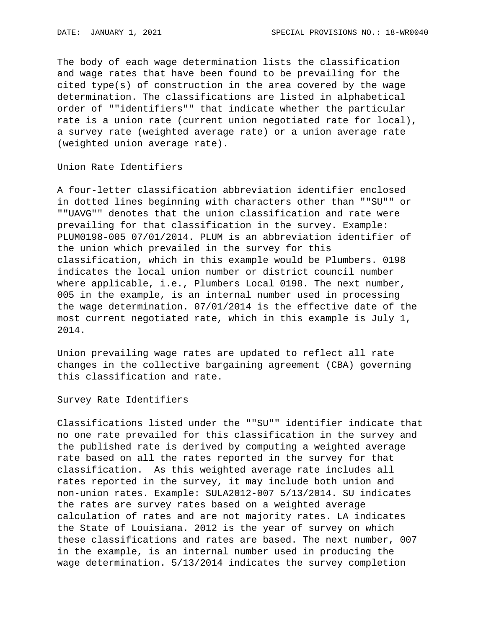The body of each wage determination lists the classification and wage rates that have been found to be prevailing for the cited type(s) of construction in the area covered by the wage determination. The classifications are listed in alphabetical order of ""identifiers"" that indicate whether the particular rate is a union rate (current union negotiated rate for local), a survey rate (weighted average rate) or a union average rate (weighted union average rate).

Union Rate Identifiers

A four-letter classification abbreviation identifier enclosed in dotted lines beginning with characters other than ""SU"" or ""UAVG"" denotes that the union classification and rate were prevailing for that classification in the survey. Example: PLUM0198-005 07/01/2014. PLUM is an abbreviation identifier of the union which prevailed in the survey for this classification, which in this example would be Plumbers. 0198 indicates the local union number or district council number where applicable, i.e., Plumbers Local 0198. The next number, 005 in the example, is an internal number used in processing the wage determination. 07/01/2014 is the effective date of the most current negotiated rate, which in this example is July 1, 2014.

Union prevailing wage rates are updated to reflect all rate changes in the collective bargaining agreement (CBA) governing this classification and rate.

Survey Rate Identifiers

Classifications listed under the ""SU"" identifier indicate that no one rate prevailed for this classification in the survey and the published rate is derived by computing a weighted average rate based on all the rates reported in the survey for that classification. As this weighted average rate includes all rates reported in the survey, it may include both union and non-union rates. Example: SULA2012-007 5/13/2014. SU indicates the rates are survey rates based on a weighted average calculation of rates and are not majority rates. LA indicates the State of Louisiana. 2012 is the year of survey on which these classifications and rates are based. The next number, 007 in the example, is an internal number used in producing the wage determination. 5/13/2014 indicates the survey completion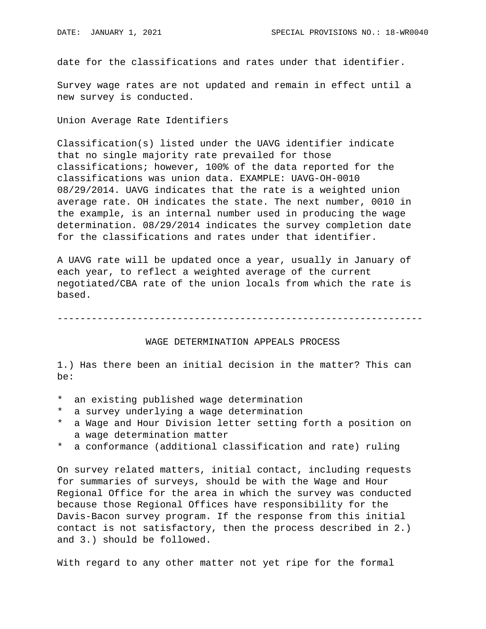date for the classifications and rates under that identifier.

Survey wage rates are not updated and remain in effect until a new survey is conducted.

Union Average Rate Identifiers

Classification(s) listed under the UAVG identifier indicate that no single majority rate prevailed for those classifications; however, 100% of the data reported for the classifications was union data. EXAMPLE: UAVG-OH-0010 08/29/2014. UAVG indicates that the rate is a weighted union average rate. OH indicates the state. The next number, 0010 in the example, is an internal number used in producing the wage determination. 08/29/2014 indicates the survey completion date for the classifications and rates under that identifier.

A UAVG rate will be updated once a year, usually in January of each year, to reflect a weighted average of the current negotiated/CBA rate of the union locals from which the rate is based.

----------------------------------------------------------------

## WAGE DETERMINATION APPEALS PROCESS

1.) Has there been an initial decision in the matter? This can be:

- \* an existing published wage determination
- \* a survey underlying a wage determination
- a Wage and Hour Division letter setting forth a position on a wage determination matter
- \* a conformance (additional classification and rate) ruling

On survey related matters, initial contact, including requests for summaries of surveys, should be with the Wage and Hour Regional Office for the area in which the survey was conducted because those Regional Offices have responsibility for the Davis-Bacon survey program. If the response from this initial contact is not satisfactory, then the process described in 2.) and 3.) should be followed.

With regard to any other matter not yet ripe for the formal